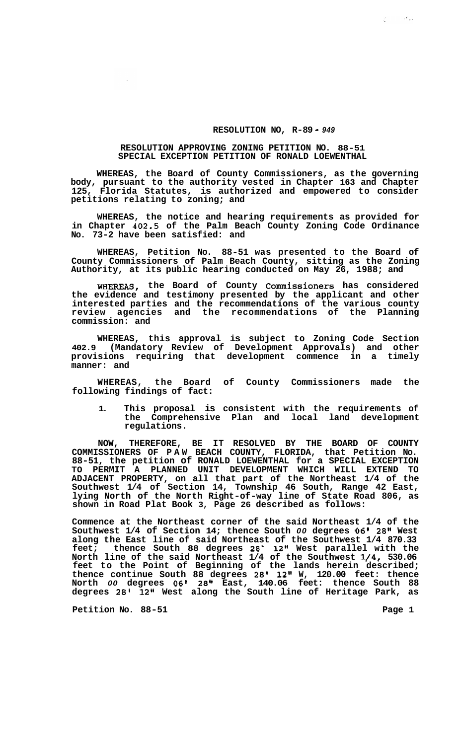## **RESOLUTION NO, R-89** - *<sup>949</sup>*

## **RESOLUTION APPROVING ZONING PETITION NO. 88-51 SPECIAL EXCEPTION PETITION OF RONALD LOEWENTHAL**

**WHEREAS, the Board of County Commissioners, as the governing body, pursuant to the authority vested in Chapter 163 and Chapter 125, Florida Statutes, is authorized and empowered to consider petitions relating to zoning; and** 

**WHEREAS, the notice and hearing requirements as provided for in Chapter 402.5 of the Palm Beach County Zoning Code Ordinance No. 73-2 have been satisfied: and** 

**WHEREAS, Petition No. 88-51 was presented to the Board of County Commissioners of Palm Beach County, sitting as the Zoning Authority, at its public hearing conducted on May 26, 1988; and** 

**WHEREAS, the Board of County Commissioners has considered the evidence and testimony presented by the applicant and other interested parties and the recommendations of the various county review agencies and the recommendations of the Planning commission: and** 

**WHEREAS, this approval is subject to Zoning Code Section 402.9 (Mandatory Review of Development Approvals) and other provisions requiring that development commence in a timely manner: and** 

**WHEREAS, the Board of County Commissioners made the following findings of fact:** 

**1. This proposal is consistent with the requirements of the Comprehensive Plan and local land development regulations.** 

**NOW, THEREFORE, BE IT RESOLVED BY THE BOARD OF COUNTY COMMISSIONERS OF PAW BEACH COUNTY, FLORIDA, that Petition No. 88-51, the petition of RONALD LOEWENTHAL for a SPECIAL EXCEPTION TO PERMIT A PLANNED UNIT DEVELOPMENT WHICH WILL EXTEND TO ADJACENT PROPERTY, on all that part of the Northeast 1/4 of the Southwest 1/4 of Section 14, Township 46 South, Range 42 East, lying North of the North Right-of-way line of State Road 806, as shown in Road Plat Book 3, Page 26 described as follows:** 

**Commence at the Northeast corner of the said Northeast 1/4 of the Southwest 1/4 of Section 14; thence South** *00* **degrees** *06'* **28" West along the East line of said Northeast of the Southwest 1/4 870.33 feet; thence South 88 degrees 28' 12'' West parallel with the North line of the said Northeast 1/4 of the Southwest 1/4, 530.06 feet to the Point of Beginning of the lands herein described; thence continue South 88 degrees 28' 12" W, 120.00 feet: thence North** *00* **degrees 06' 28" East, 140.06 feet: thence South 88 degrees 28' 12'' West along the South line of Heritage Park, as** 

**Petition No. 88-51 Page 1** 

 $\zeta = -\partial \omega$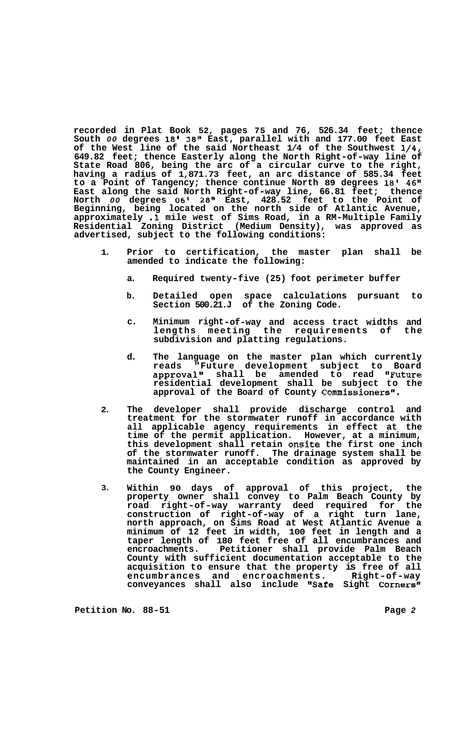**recorded in Plat Book 52, pages 75 and 76, 526.34 feet; thence South** *00* **degrees 18' 38" East, parallel with and 177.00 feet East of the West line of the said Northeast 1/4 of the Southwest 1/4, 649.82 feet; thence Easterly along the North Right-of-way line of State Road 806, being the arc of a circular curve to the right, having a radius of 1,871.73 feet, an arc distance of 585.34 feet**  to a Point of Tangency; thence continue North 89 degrees 18' 46" **East along the said North Right-of-way line, 66.81 feet; thence North** *00* **degrees 06' 28" East, 428.52 feet to the Point of Beginning, being located on the north side of Atlantic Avenue, approximately .1 mile west of Sims Road, in a RM-Multiple Family Residential Zoning District (Medium Density), was approved as advertised, subject to the following conditions:** 

- **1. Prior to certification, the master plan shall be amended to indicate the following:** 
	- **a. Required twenty-five (25) foot perimeter buffer**
	- **b. Detailed open space calculations pursuant to Section 500.21.J of the Zoning Code.**
	- **c. Minimum right-of-way and access tract widths and lengths meeting the requirements of the subdivision and platting regulations.**
	- **d. The language on the master plan which currently reads "Future development subject to Board approval1\* shall be amended to read IIFuture residential development shall be subject to the approval of the Board of County CommissionersI1.**
- **2. The developer shall provide discharge control and treatment for the stormwater runoff in accordance with all applicable agency requirements in effect at the time of the permit application. However, at a minimum, this development shall retain onsite the first one inch of the stormwater runoff. The drainage system shall be maintained in an acceptable condition as approved by the County Engineer.**
- **3. Within 90 days of approval of this project, the property owner shall convey to Palm Beach County by road right-of-way warranty deed required for the construction of right-of-way of a right turn lane, north approach, on Sims Road at West Atlantic Avenue a minimum of 12 feet in width, 100 feet in length and a taper length of 180 feet free of all encumbrances and encroachments. Petitioner shall provide Palm Beach County with sufficient documentation acceptable to the acquisition to ensure that the property is free of all encumbrances and encroachments. Right-of-way conveyances shall also include I'Safe Sight Corners"**

**Petition No. 88-51 Page** *2*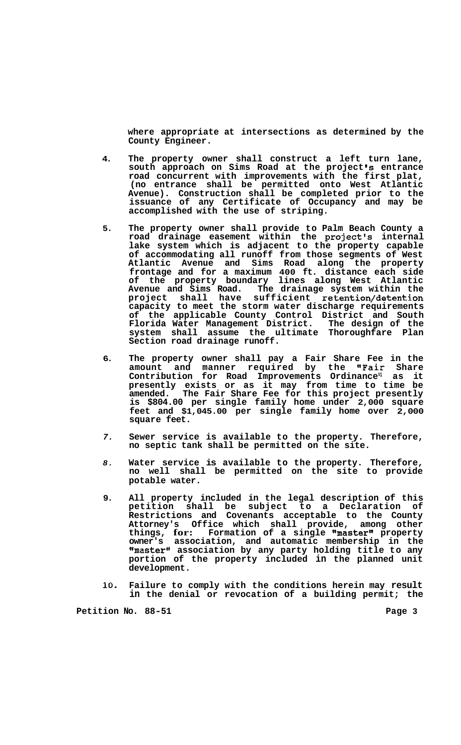**where appropriate at intersections as determined by the County Engineer.** 

- **4. The property owner shall construct a left turn lane, south approach on Sims Road at the project Is entrance road concurrent with improvements with the first plat, (no entrance shall be permitted onto West Atlantic Avenue). Construction shall be completed prior to the issuance of any Certificate of Occupancy and may be accomplished with the use of striping.**
- **5. The property owner shall provide to Palm Beach County a**  road drainage easement within the project's internal **lake system which is adjacent to the property capable of accommodating all runoff from those segments of West Atlantic Avenue and Sims Road along the property frontage and for a maximum 400 ft. distance each side of the property boundary lines along West Atlantic Avenue and Sims Road. The drainage system within the project shall have sufficient retention/detention capacity to meet the storm water discharge requirements of the applicable County Control District and South Florida Water Management District. The design of the system shall assume the ultimate Thoroughfare Plan Section road drainage runoff.**
- **6. The property owner shall pay a Fair Share Fee in the amount and manner required by the "Fair Share**  Contribution for Road Improvements Ordinance<sup>s1</sup> as it **presently exists or as it may from time to time be amended. The Fair Share Fee for this project presently is \$804.00 per single family home under 2,000 square feet and \$1,045.00 per single family home over 2,000 square feet.**
- *7.*  **Sewer service is available to the property. Therefore, no septic tank shall be permitted on the site.**
- *8.*  **Water service is available to the property. Therefore, no well shall be permitted on the site to provide potable water.**
- **9. All property included in the legal description of this petition shall be subject to a Declaration of Restrictions and Covenants acceptable to the County Attorney's Office which shall provide, among other**  things, for: Formation of a single "master" property **owner's association, and automatic membership in the llmasterll association by any party holding title to any portion of the property included in the planned unit development.**
- **10. Failure to comply with the conditions herein may result in the denial or revocation of a building permit; the**

Petition No. 88-51 **Page 3 Page 3**